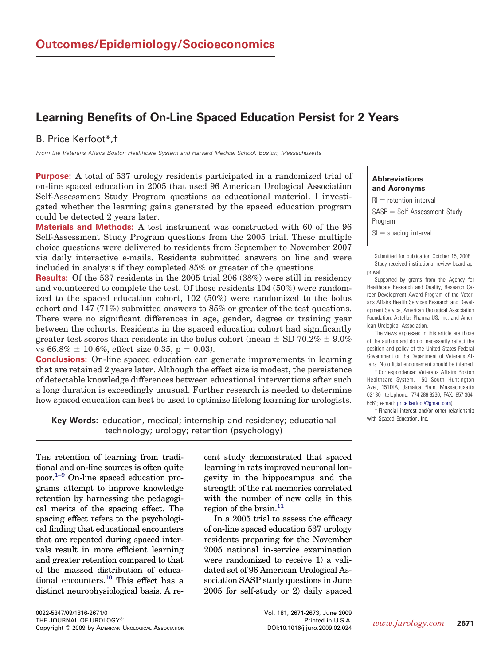# **Learning Benefits of On-Line Spaced Education Persist for 2 Years**

## B. Price Kerfoot\*,†

*From the Veterans Affairs Boston Healthcare System and Harvard Medical School, Boston, Massachusetts*

**Purpose:** A total of 537 urology residents participated in a randomized trial of on-line spaced education in 2005 that used 96 American Urological Association Self-Assessment Study Program questions as educational material. I investigated whether the learning gains generated by the spaced education program could be detected 2 years later.

**Materials and Methods:** A test instrument was constructed with 60 of the 96 Self-Assessment Study Program questions from the 2005 trial. These multiple choice questions were delivered to residents from September to November 2007 via daily interactive e-mails. Residents submitted answers on line and were included in analysis if they completed 85% or greater of the questions.

**Results:** Of the 537 residents in the 2005 trial 206 (38%) were still in residency and volunteered to complete the test. Of those residents 104 (50%) were randomized to the spaced education cohort, 102 (50%) were randomized to the bolus cohort and 147 (71%) submitted answers to 85% or greater of the test questions. There were no significant differences in age, gender, degree or training year between the cohorts. Residents in the spaced education cohort had significantly greater test scores than residents in the bolus cohort (mean  $\pm$  SD 70.2%  $\pm$  9.0%) vs  $66.8\% \pm 10.6\%,$  effect size 0.35, p = 0.03).

**Conclusions:** On-line spaced education can generate improvements in learning that are retained 2 years later. Although the effect size is modest, the persistence of detectable knowledge differences between educational interventions after such a long duration is exceedingly unusual. Further research is needed to determine how spaced education can best be used to optimize lifelong learning for urologists.

**Key Words:** education, medical; internship and residency; educational technology; urology; retention (psychology)

THE retention of learning from traditional and on-line sources is often quite poor[.1–9](#page-2-0) On-line spaced education programs attempt to improve knowledge retention by harnessing the pedagogical merits of the spacing effect. The spacing effect refers to the psychological finding that educational encounters that are repeated during spaced intervals result in more efficient learning and greater retention compared to that of the massed distribution of educational encounters[.10](#page-2-0) This effect has a distinct neurophysiological basis. A re-

0022-5347/09/1816-2671/0 Vol. 181, 2671-2673, June 2009 THE JOURNAL OF UROLOGY® **Printed in U.S.A.** Printed in U.S.A. Copyright © 2009 by AMERICAN UROLOGICAL ASSOCIATION DOI:10.1016/j.juro.2009.02.024 *www.jurology.com* **<sup>2671</sup>**

cent study demonstrated that spaced learning in rats improved neuronal longevity in the hippocampus and the strength of the rat memories correlated with the number of new cells in this region of the brain.<sup>11</sup>

In a 2005 trial to assess the efficacy of on-line spaced education 537 urology residents preparing for the November 2005 national in-service examination were randomized to receive 1) a validated set of 96 American Urological Association SASP study questions in June 2005 for self-study or 2) daily spaced

#### **Abbreviations and Acronyms**

 $\text{RI} =$  retention interval SASP = Self-Assessment Study Program  $SI =$  spacing interval

Submitted for publication October 15, 2008. Study received institutional review board approval.

Supported by grants from the Agency for Healthcare Research and Quality, Research Career Development Award Program of the Veterans Affairs Health Services Research and Development Service, American Urological Association Foundation, Astellas Pharma US, Inc. and American Urological Association.

The views expressed in this article are those of the authors and do not necessarily reflect the position and policy of the United States Federal Government or the Department of Veterans Affairs. No official endorsement should be inferred.

\* Correspondence: Veterans Affairs Boston Healthcare System, 150 South Huntington Ave., 151DIA, Jamaica Plain, Massachusetts 02130 (telephone: 774-286-9230; FAX: 857-364- 6561; e-mail: [price.kerfoot@gmail.com\)](mailto:price.kerfoot@gmail.com).

† Financial interest and/or other relationship with Spaced Education, Inc.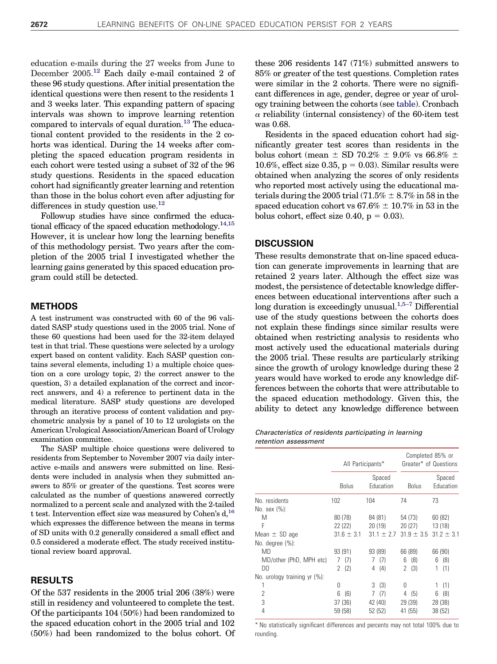<span id="page-1-0"></span>education e-mails during the 27 weeks from June to December 2005[.12](#page-2-0) Each daily e-mail contained 2 of these 96 study questions. After initial presentation the identical questions were then resent to the residents 1 and 3 weeks later. This expanding pattern of spacing intervals was shown to improve learning retention compared to intervals of equal duration.<sup>13</sup> The educational content provided to the residents in the 2 cohorts was identical. During the 14 weeks after completing the spaced education program residents in each cohort were tested using a subset of 32 of the 96 study questions. Residents in the spaced education cohort had significantly greater learning and retention than those in the bolus cohort even after adjusting for differences in study question use. $^{12}$ 

Followup studies have since confirmed the educational efficacy of the spaced education methodology.<sup>14,15</sup> However, it is unclear how long the learning benefits of this methodology persist. Two years after the completion of the 2005 trial I investigated whether the learning gains generated by this spaced education program could still be detected.

#### **METHODS**

A test instrument was constructed with 60 of the 96 validated SASP study questions used in the 2005 trial. None of these 60 questions had been used for the 32-item delayed test in that trial. These questions were selected by a urology expert based on content validity. Each SASP question contains several elements, including 1) a multiple choice question on a core urology topic, 2) the correct answer to the question, 3) a detailed explanation of the correct and incorrect answers, and 4) a reference to pertinent data in the medical literature. SASP study questions are developed through an iterative process of content validation and psychometric analysis by a panel of 10 to 12 urologists on the American Urological Association/American Board of Urology examination committee.

The SASP multiple choice questions were delivered to residents from September to November 2007 via daily interactive e-mails and answers were submitted on line. Residents were included in analysis when they submitted answers to 85% or greater of the questions. Test scores were calculated as the number of questions answered correctly normalized to a percent scale and analyzed with the 2-tailed t test. Intervention effect size was measured by Cohen's d[,16](#page-2-0) which expresses the difference between the means in terms of SD units with 0.2 generally considered a small effect and 0.5 considered a moderate effect. The study received institutional review board approval.

### **RESULTS**

Of the 537 residents in the 2005 trial 206 (38%) were still in residency and volunteered to complete the test. Of the participants 104 (50%) had been randomized to the spaced education cohort in the 2005 trial and 102 (50%) had been randomized to the bolus cohort. Of these 206 residents 147 (71%) submitted answers to 85% or greater of the test questions. Completion rates were similar in the 2 cohorts. There were no significant differences in age, gender, degree or year of urology training between the cohorts (see table). Cronbach  $\alpha$  reliability (internal consistency) of the 60-item test was 0.68.

Residents in the spaced education cohort had significantly greater test scores than residents in the bolus cohort (mean  $\pm$  SD 70.2%  $\pm$  9.0% vs 66.8%  $\pm$ 10.6%, effect size 0.35,  $p = 0.03$ ). Similar results were obtained when analyzing the scores of only residents who reported most actively using the educational materials during the 2005 trial (71.5%  $\pm$  8.7% in 58 in the spaced education cohort vs  $67.6\% \pm 10.7\%$  in 53 in the bolus cohort, effect size  $0.40$ ,  $p = 0.03$ ).

#### **DISCUSSION**

These results demonstrate that on-line spaced education can generate improvements in learning that are retained 2 years later. Although the effect size was modest, the persistence of detectable knowledge differences between educational interventions after such a long duration is exceedingly unusual.<sup>1,5-7</sup> Differential use of the study questions between the cohorts does not explain these findings since similar results were obtained when restricting analysis to residents who most actively used the educational materials during the 2005 trial. These results are particularly striking since the growth of urology knowledge during these 2 years would have worked to erode any knowledge differences between the cohorts that were attributable to the spaced education methodology. Given this, the ability to detect any knowledge difference between

#### *Characteristics of residents participating in learning retention assessment*

|                                | All Participants* |                     | Completed 85% or<br>Greater* of Questions |                     |
|--------------------------------|-------------------|---------------------|-------------------------------------------|---------------------|
|                                | <b>Bolus</b>      | Spaced<br>Education | <b>Bolus</b>                              | Spaced<br>Education |
| No. residents                  | 102               | 104                 | 74                                        | 73                  |
| No. sex $(\%)$ :               |                   |                     |                                           |                     |
| M                              | 80 (78)           | 84 (81)             | 54 (73)                                   | 60(82)              |
| F                              | 22 (22)           | 20(19)              | 20(27)                                    | 13(18)              |
| Mean $\pm$ SD age              | $31.6 \pm 3.1$    | $31.1 \pm 2.7$      | $31.9 \pm 3.5$                            | $31.2 \pm 3.1$      |
| No. degree (%):                |                   |                     |                                           |                     |
| <b>MD</b>                      | 93(91)            | 93(89)              | 66 (89)                                   | 66 (90)             |
| MD/other (PhD, MPH etc)        | (7)               | (7)<br>7            | (8)<br>6                                  | (8)<br>6            |
| D <sub>0</sub>                 | (2)<br>2          | (4)<br>4            | (3)<br>2                                  | (1)<br>1            |
| No. urology training $yr$ (%): |                   |                     |                                           |                     |
|                                | Ŋ                 | (3)<br>3            | U                                         | (1)<br>1            |
| 2                              | 6<br>(6)          | 7<br>(7)            | (5)<br>4                                  | 6<br>(8)            |
| 3                              | 37 (36)           | 42 (40)             | 29 (39)                                   | 28 (38)             |
| 4                              | 59 (58)           | 52 (52)             | 41 (55)                                   | 38(52)              |

\* No statistically significant differences and percents may not total 100% due to rounding.